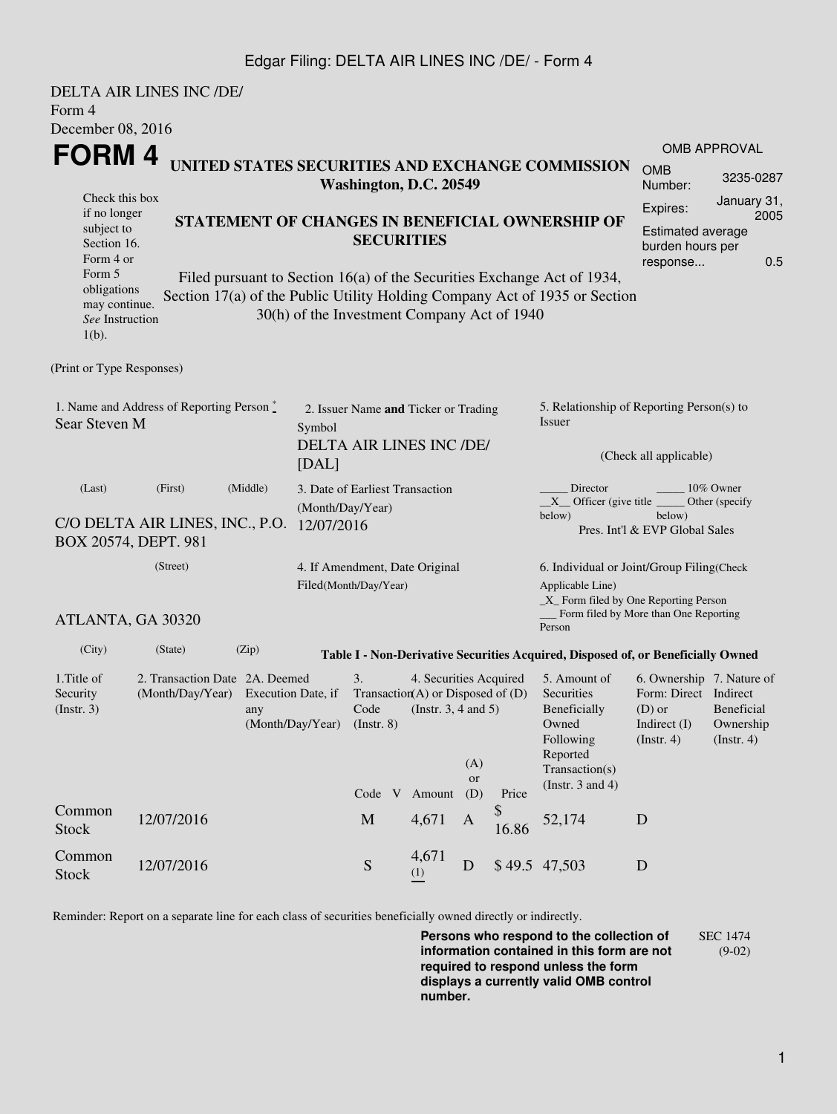## Edgar Filing: DELTA AIR LINES INC /DE/ - Form 4

| Form 4                                                                                                                                            | DELTA AIR LINES INC /DE/ |       |  |                                                                  |                                                                                                                                                                                                                                                                              |                       |                |                                                                                                                                                              |                                                                                                         |                                                                                                    |  |
|---------------------------------------------------------------------------------------------------------------------------------------------------|--------------------------|-------|--|------------------------------------------------------------------|------------------------------------------------------------------------------------------------------------------------------------------------------------------------------------------------------------------------------------------------------------------------------|-----------------------|----------------|--------------------------------------------------------------------------------------------------------------------------------------------------------------|---------------------------------------------------------------------------------------------------------|----------------------------------------------------------------------------------------------------|--|
| December 08, 2016                                                                                                                                 |                          |       |  |                                                                  |                                                                                                                                                                                                                                                                              |                       |                |                                                                                                                                                              |                                                                                                         |                                                                                                    |  |
| FORM 4<br>UNITED STATES SECURITIES AND EXCHANGE COMMISSION<br>Washington, D.C. 20549                                                              |                          |       |  |                                                                  |                                                                                                                                                                                                                                                                              |                       |                |                                                                                                                                                              | <b>OMB</b><br>Number:                                                                                   | <b>OMB APPROVAL</b><br>3235-0287                                                                   |  |
| Check this box<br>if no longer<br>subject to<br>Section 16.<br>Form 4 or<br>Form 5<br>obligations<br>may continue.<br>See Instruction<br>$1(b)$ . |                          |       |  |                                                                  | STATEMENT OF CHANGES IN BENEFICIAL OWNERSHIP OF<br><b>SECURITIES</b><br>Filed pursuant to Section 16(a) of the Securities Exchange Act of 1934,<br>Section 17(a) of the Public Utility Holding Company Act of 1935 or Section<br>30(h) of the Investment Company Act of 1940 |                       |                |                                                                                                                                                              |                                                                                                         | January 31,<br>Expires:<br>2005<br><b>Estimated average</b><br>burden hours per<br>0.5<br>response |  |
| (Print or Type Responses)                                                                                                                         |                          |       |  |                                                                  |                                                                                                                                                                                                                                                                              |                       |                |                                                                                                                                                              |                                                                                                         |                                                                                                    |  |
| 1. Name and Address of Reporting Person $\degree$<br>Sear Steven M<br>Symbol<br>[DAL]                                                             |                          |       |  | 2. Issuer Name and Ticker or Trading<br>DELTA AIR LINES INC /DE/ |                                                                                                                                                                                                                                                                              |                       |                | 5. Relationship of Reporting Person(s) to<br>Issuer<br>(Check all applicable)                                                                                |                                                                                                         |                                                                                                    |  |
| (First)<br>(Middle)<br>(Last)<br>C/O DELTA AIR LINES, INC., P.O. 12/07/2016<br>BOX 20574, DEPT. 981                                               |                          |       |  | 3. Date of Earliest Transaction<br>(Month/Day/Year)              |                                                                                                                                                                                                                                                                              |                       |                | Director<br>$10\%$ Owner<br>$X$ Officer (give title $\frac{X}{X}$<br>Other (specify<br>below)<br>below)<br>Pres. Int'l & EVP Global Sales                    |                                                                                                         |                                                                                                    |  |
| (Street)<br>ATLANTA, GA 30320                                                                                                                     |                          |       |  | 4. If Amendment, Date Original<br>Filed(Month/Day/Year)          |                                                                                                                                                                                                                                                                              |                       |                | 6. Individual or Joint/Group Filing(Check<br>Applicable Line)<br>$\_X$ Form filed by One Reporting Person<br>Form filed by More than One Reporting<br>Person |                                                                                                         |                                                                                                    |  |
| (City)                                                                                                                                            | (State)                  | (Zip) |  |                                                                  |                                                                                                                                                                                                                                                                              |                       |                | Table I - Non-Derivative Securities Acquired, Disposed of, or Beneficially Owned                                                                             |                                                                                                         |                                                                                                    |  |
| 1. Title of<br>2. Transaction Date 2A. Deemed<br>(Month/Day/Year) Execution Date, if<br>Security<br>(Insert. 3)<br>any<br>(Month/Day/Year)        |                          |       |  | 3.<br>$($ Instr. 8 $)$                                           | 4. Securities Acquired<br>Transaction(A) or Disposed of $(D)$<br>Code (Instr. $3, 4$ and $5$ )                                                                                                                                                                               | (A)                   |                | 5. Amount of<br>Securities<br>Beneficially<br>Owned<br>Following<br>Reported<br>Transaction(s)                                                               | 6. Ownership 7. Nature of<br>Form: Direct Indirect<br>(D) or Beneficial<br>Indirect $(I)$<br>(Instr. 4) | Ownership<br>(Insert. 4)                                                                           |  |
| Common<br><b>Stock</b>                                                                                                                            | 12/07/2016               |       |  | $\mathbf M$                                                      | Code V Amount<br>4,671                                                                                                                                                                                                                                                       | <b>or</b><br>(D)<br>A | Price<br>16.86 | (Instr. $3$ and $4$ )<br>52,174                                                                                                                              | D                                                                                                       |                                                                                                    |  |
| Common<br><b>Stock</b>                                                                                                                            | 12/07/2016               |       |  | ${\mathbf S}$                                                    | 4,671<br>(1)                                                                                                                                                                                                                                                                 | $\mathbf D$           |                | \$49.5 47,503                                                                                                                                                | D                                                                                                       |                                                                                                    |  |

Reminder: Report on a separate line for each class of securities beneficially owned directly or indirectly.

**Persons who respond to the collection of information contained in this form are not required to respond unless the form displays a currently valid OMB control number.** SEC 1474 (9-02)